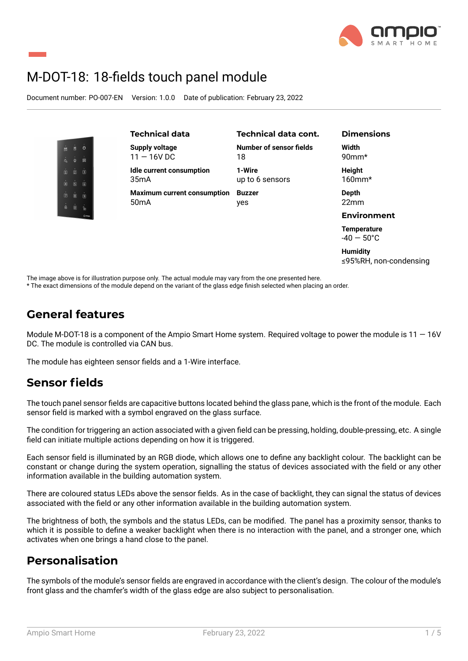

# M-DOT-18: 18-fields touch panel module

Document number: PO-007-EN Version: 1.0.0 Date of publication: February 23, 2022



≤95%RH, non-condensing

The image above is for illustration purpose only. The actual module may vary from the one presented here.

\* The exact dimensions of the module depend on the variant of the glass edge finish selected when placing an order.

### **General features**

Module M-DOT-18 is a component of the Ampio Smart Home system. Required voltage to power the module is  $11 - 16V$ DC. The module is controlled via CAN bus.

The module has eighteen sensor fields and a 1-Wire interface.

### **Sensor fields**

The touch panel sensor fields are capacitive buttons located behind the glass pane, which is the front of the module. Each sensor field is marked with a symbol engraved on the glass surface.

The condition for triggering an action associated with a given field can be pressing, holding, double-pressing, etc. A single field can initiate multiple actions depending on how it is triggered.

Each sensor field is illuminated by an RGB diode, which allows one to define any backlight colour. The backlight can be constant or change during the system operation, signalling the status of devices associated with the field or any other information available in the building automation system.

There are coloured status LEDs above the sensor fields. As in the case of backlight, they can signal the status of devices associated with the field or any other information available in the building automation system.

The brightness of both, the symbols and the status LEDs, can be modified. The panel has a proximity sensor, thanks to which it is possible to define a weaker backlight when there is no interaction with the panel, and a stronger one, which activates when one brings a hand close to the panel.

### **Personalisation**

The symbols of the module's sensor fields are engraved in accordance with the client's design. The colour of the module's front glass and the chamfer's width of the glass edge are also subject to personalisation.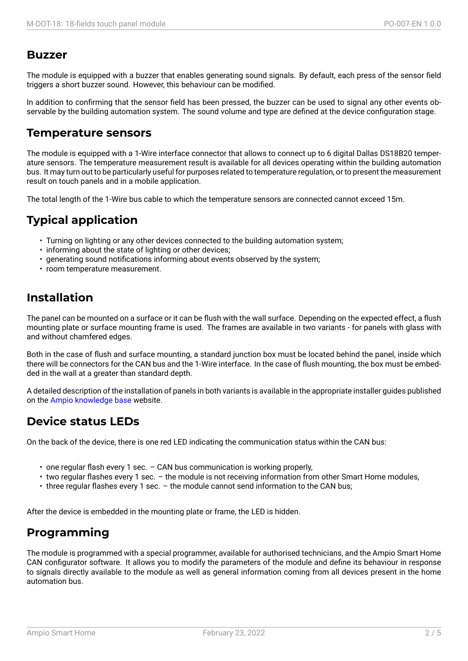#### **Buzzer**

The module is equipped with a buzzer that enables generating sound signals. By default, each press of the sensor field triggers a short buzzer sound. However, this behaviour can be modified.

In addition to confirming that the sensor field has been pressed, the buzzer can be used to signal any other events observable by the building automation system. The sound volume and type are defined at the device configuration stage.

#### **Temperature sensors**

The module is equipped with a 1-Wire interface connector that allows to connect up to 6 digital Dallas DS18B20 temperature sensors. The temperature measurement result is available for all devices operating within the building automation bus. It may turn out to be particularly useful for purposes related to temperature regulation, or to present the measurement result on touch panels and in a mobile application.

The total length of the 1-Wire bus cable to which the temperature sensors are connected cannot exceed 15m.

### **Typical application**

- Turning on lighting or any other devices connected to the building automation system;
- informing about the state of lighting or other devices;
- generating sound notifications informing about events observed by the system;
- room temperature measurement.

### **Installation**

The panel can be mounted on a surface or it can be flush with the wall surface. Depending on the expected effect, a flush mounting plate or surface mounting frame is used. The frames are available in two variants - for panels with glass with and without chamfered edges.

Both in the case of flush and surface mounting, a standard junction box must be located behind the panel, inside which there will be connectors for the CAN bus and the 1-Wire interface. In the case of flush mounting, the box must be embedded in the wall at a greater than standard depth.

A detailed description of the installation of panels in both variants is available in the appropriate installer guides published on the Ampio knowledge base website.

### **Device status LEDs**

On the [back of the device, ther](https://help.ampio.com)e is one red LED indicating the communication status within the CAN bus:

- one regular flash every 1 sec. CAN bus communication is working properly,
- two regular flashes every 1 sec. the module is not receiving information from other Smart Home modules,
- three regular flashes every 1 sec. the module cannot send information to the CAN bus;

After the device is embedded in the mounting plate or frame, the LED is hidden.

### **Programming**

The module is programmed with a special programmer, available for authorised technicians, and the Ampio Smart Home CAN configurator software. It allows you to modify the parameters of the module and define its behaviour in response to signals directly available to the module as well as general information coming from all devices present in the home automation bus.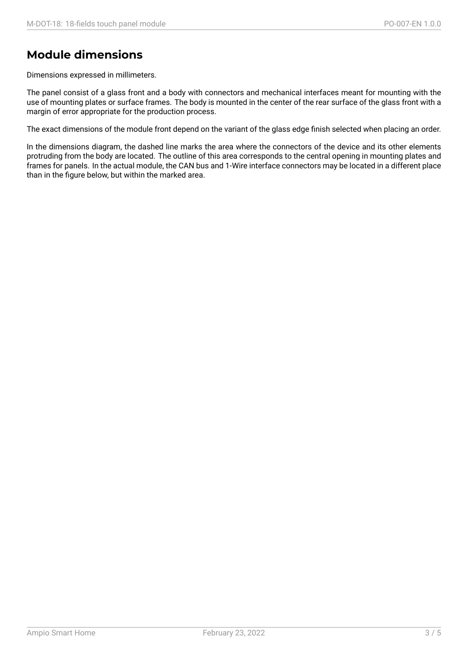### **Module dimensions**

Dimensions expressed in millimeters.

The panel consist of a glass front and a body with connectors and mechanical interfaces meant for mounting with the use of mounting plates or surface frames. The body is mounted in the center of the rear surface of the glass front with a margin of error appropriate for the production process.

The exact dimensions of the module front depend on the variant of the glass edge finish selected when placing an order.

In the dimensions diagram, the dashed line marks the area where the connectors of the device and its other elements protruding from the body are located. The outline of this area corresponds to the central opening in mounting plates and frames for panels. In the actual module, the CAN bus and 1-Wire interface connectors may be located in a different place than in the figure below, but within the marked area.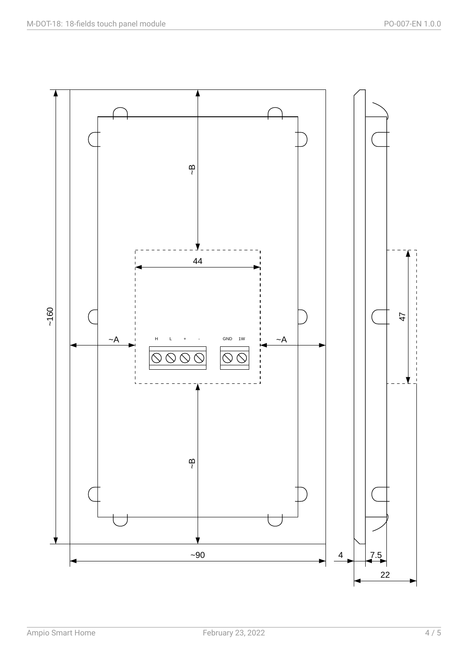